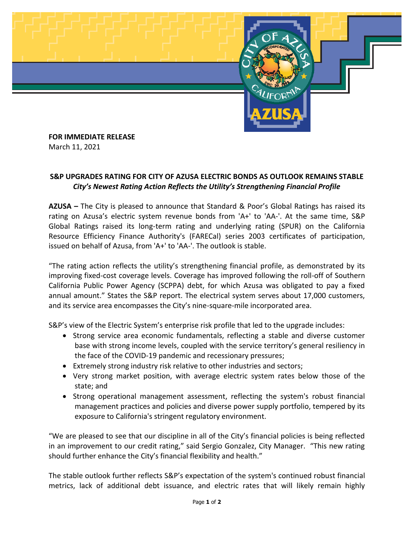

**FOR IMMEDIATE RELEASE** March 11, 2021

## **S&P UPGRADES RATING FOR CITY OF AZUSA ELECTRIC BONDS AS OUTLOOK REMAINS STABLE** *City's Newest Rating Action Reflects the Utility's Strengthening Financial Profile*

**AZUSA –** The City is pleased to announce that Standard & Poor's Global Ratings has raised its rating on Azusa's electric system revenue bonds from 'A+' to 'AA-'. At the same time, S&P Global Ratings raised its long-term rating and underlying rating (SPUR) on the California Resource Efficiency Finance Authority's (FARECal) series 2003 certificates of participation, issued on behalf of Azusa, from 'A+' to 'AA-'. The outlook is stable.

"The rating action reflects the utility's strengthening financial profile, as demonstrated by its improving fixed-cost coverage levels. Coverage has improved following the roll-off of Southern California Public Power Agency (SCPPA) debt, for which Azusa was obligated to pay a fixed annual amount." States the S&P report. The electrical system serves about 17,000 customers, and its service area encompasses the City's nine-square-mile incorporated area.

S&P's view of the Electric System's enterprise risk profile that led to the upgrade includes:

- Strong service area economic fundamentals, reflecting a stable and diverse customer base with strong income levels, coupled with the service territory's general resiliency in the face of the COVID-19 pandemic and recessionary pressures;
- Extremely strong industry risk relative to other industries and sectors;
- Very strong market position, with average electric system rates below those of the state; and
- Strong operational management assessment, reflecting the system's robust financial management practices and policies and diverse power supply portfolio, tempered by its exposure to California's stringent regulatory environment.

"We are pleased to see that our discipline in all of the City's financial policies is being reflected in an improvement to our credit rating," said Sergio Gonzalez, City Manager. "This new rating should further enhance the City's financial flexibility and health."

The stable outlook further reflects S&P's expectation of the system's continued robust financial metrics, lack of additional debt issuance, and electric rates that will likely remain highly